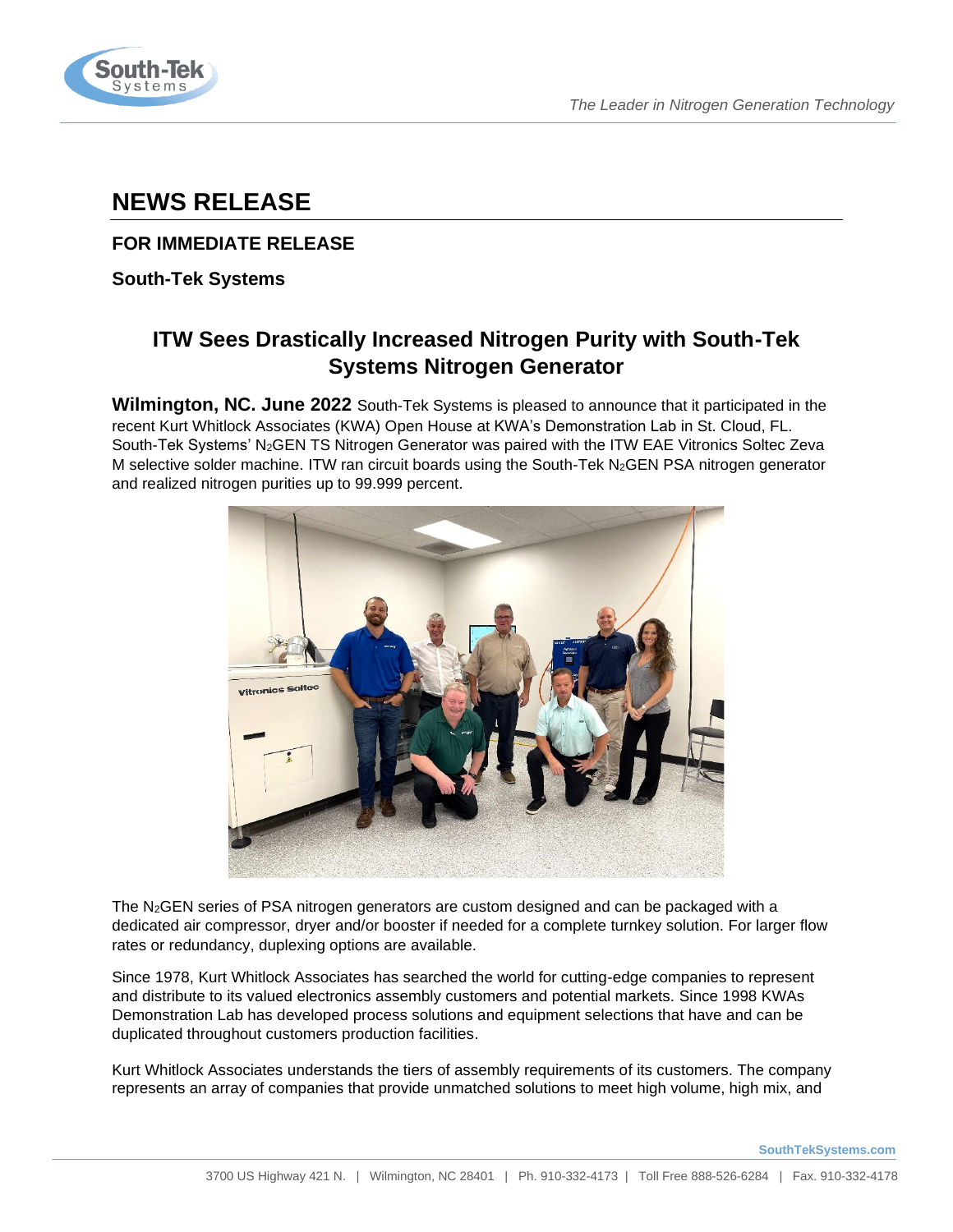

# **NEWS RELEASE**

## **FOR IMMEDIATE RELEASE**

**South-Tek Systems**

## **ITW Sees Drastically Increased Nitrogen Purity with South-Tek Systems Nitrogen Generator**

**Wilmington, NC. June 2022** South-Tek Systems is pleased to announce that it participated in the recent Kurt Whitlock Associates (KWA) Open House at KWA's Demonstration Lab in St. Cloud, FL. South-Tek Systems' N<sub>2</sub>GEN TS Nitrogen Generator was paired with the ITW EAE Vitronics Soltec Zeva M selective solder machine. ITW ran circuit boards using the South-Tek N2GEN PSA nitrogen generator and realized nitrogen purities up to 99.999 percent.



The N<sub>2</sub>GEN series of PSA nitrogen generators are custom designed and can be packaged with a dedicated air compressor, dryer and/or booster if needed for a complete turnkey solution. For larger flow rates or redundancy, duplexing options are available.

Since 1978, Kurt Whitlock Associates has searched the world for cutting-edge companies to represent and distribute to its valued electronics assembly customers and potential markets. Since 1998 KWAs Demonstration Lab has developed process solutions and equipment selections that have and can be duplicated throughout customers production facilities.

Kurt Whitlock Associates understands the tiers of assembly requirements of its customers. The company represents an array of companies that provide unmatched solutions to meet high volume, high mix, and

**SouthTekSystems.com**